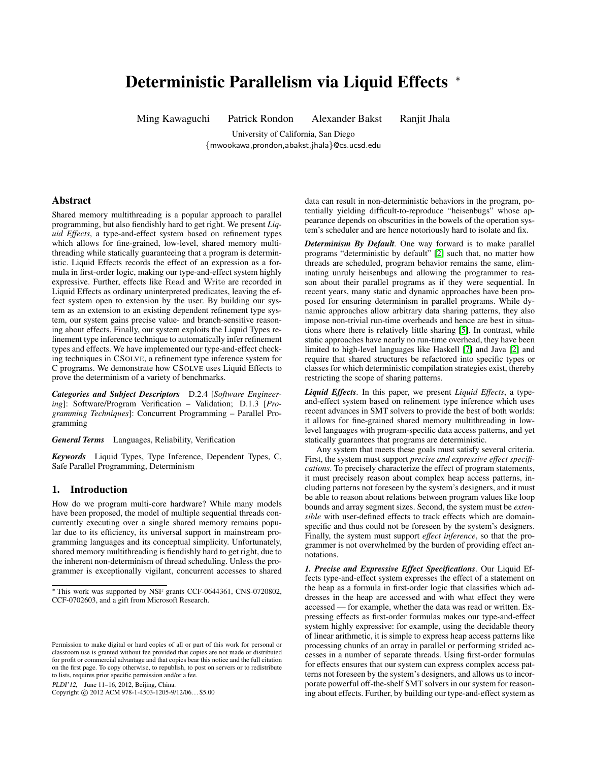# Deterministic Parallelism via Liquid Effects <sup>∗</sup>

Ming Kawaguchi Patrick Rondon Alexander Bakst Ranjit Jhala

University of California, San Diego {mwookawa,prondon,abakst,jhala}@cs.ucsd.edu

#### Abstract

Shared memory multithreading is a popular approach to parallel programming, but also fiendishly hard to get right. We present *Liquid Effects*, a type-and-effect system based on refinement types which allows for fine-grained, low-level, shared memory multithreading while statically guaranteeing that a program is deterministic. Liquid Effects records the effect of an expression as a formula in first-order logic, making our type-and-effect system highly expressive. Further, effects like Read and Write are recorded in Liquid Effects as ordinary uninterpreted predicates, leaving the effect system open to extension by the user. By building our system as an extension to an existing dependent refinement type system, our system gains precise value- and branch-sensitive reasoning about effects. Finally, our system exploits the Liquid Types refinement type inference technique to automatically infer refinement types and effects. We have implemented our type-and-effect checking techniques in CSOLVE, a refinement type inference system for C programs. We demonstrate how CSOLVE uses Liquid Effects to prove the determinism of a variety of benchmarks.

*Categories and Subject Descriptors* D.2.4 [*Software Engineering*]: Software/Program Verification – Validation; D.1.3 [*Programming Techniques*]: Concurrent Programming – Parallel Programming

*General Terms* Languages, Reliability, Verification

*Keywords* Liquid Types, Type Inference, Dependent Types, C, Safe Parallel Programming, Determinism

#### 1. Introduction

How do we program multi-core hardware? While many models have been proposed, the model of multiple sequential threads concurrently executing over a single shared memory remains popular due to its efficiency, its universal support in mainstream programming languages and its conceptual simplicity. Unfortunately, shared memory multithreading is fiendishly hard to get right, due to the inherent non-determinism of thread scheduling. Unless the programmer is exceptionally vigilant, concurrent accesses to shared

PLDI'12, June 11–16, 2012, Beijing, China.

Copyright © 2012 ACM 978-1-4503-1205-9/12/06... \$5.00

data can result in non-deterministic behaviors in the program, potentially yielding difficult-to-reproduce "heisenbugs" whose appearance depends on obscurities in the bowels of the operation system's scheduler and are hence notoriously hard to isolate and fix.

*Determinism By Default.* One way forward is to make parallel programs "deterministic by default" [\[2\]](#page-9-0) such that, no matter how threads are scheduled, program behavior remains the same, eliminating unruly heisenbugs and allowing the programmer to reason about their parallel programs as if they were sequential. In recent years, many static and dynamic approaches have been proposed for ensuring determinism in parallel programs. While dynamic approaches allow arbitrary data sharing patterns, they also impose non-trivial run-time overheads and hence are best in situations where there is relatively little sharing [\[5\]](#page-9-1). In contrast, while static approaches have nearly no run-time overhead, they have been limited to high-level languages like Haskell [\[7\]](#page-9-2) and Java [\[2\]](#page-9-0) and require that shared structures be refactored into specific types or classes for which deterministic compilation strategies exist, thereby restricting the scope of sharing patterns.

*Liquid Effects.* In this paper, we present *Liquid Effects*, a typeand-effect system based on refinement type inference which uses recent advances in SMT solvers to provide the best of both worlds: it allows for fine-grained shared memory multithreading in lowlevel languages with program-specific data access patterns, and yet statically guarantees that programs are deterministic.

Any system that meets these goals must satisfy several criteria. First, the system must support *precise and expressive effect specifications*. To precisely characterize the effect of program statements, it must precisely reason about complex heap access patterns, including patterns not foreseen by the system's designers, and it must be able to reason about relations between program values like loop bounds and array segment sizes. Second, the system must be *extensible* with user-defined effects to track effects which are domainspecific and thus could not be foreseen by the system's designers. Finally, the system must support *effect inference*, so that the programmer is not overwhelmed by the burden of providing effect annotations.

*1. Precise and Expressive Effect Specifications.* Our Liquid Effects type-and-effect system expresses the effect of a statement on the heap as a formula in first-order logic that classifies which addresses in the heap are accessed and with what effect they were accessed — for example, whether the data was read or written. Expressing effects as first-order formulas makes our type-and-effect system highly expressive: for example, using the decidable theory of linear arithmetic, it is simple to express heap access patterns like processing chunks of an array in parallel or performing strided accesses in a number of separate threads. Using first-order formulas for effects ensures that our system can express complex access patterns not foreseen by the system's designers, and allows us to incorporate powerful off-the-shelf SMT solvers in our system for reasoning about effects. Further, by building our type-and-effect system as

<sup>∗</sup> This work was supported by NSF grants CCF-0644361, CNS-0720802, CCF-0702603, and a gift from Microsoft Research.

Permission to make digital or hard copies of all or part of this work for personal or classroom use is granted without fee provided that copies are not made or distributed for profit or commercial advantage and that copies bear this notice and the full citation on the first page. To copy otherwise, to republish, to post on servers or to redistribute to lists, requires prior specific permission and/or a fee.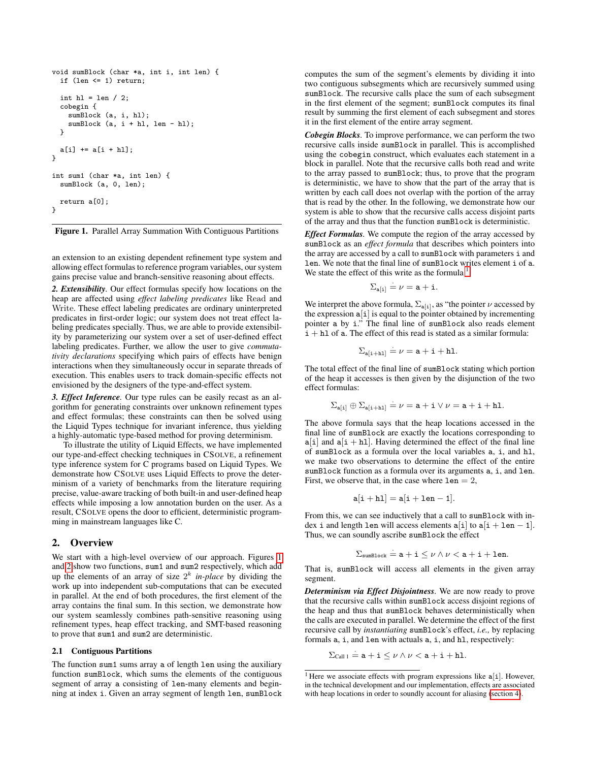```
void sumBlock (char *a, int i, int len) {
 if (len <= 1) return;
 int hl = len / 2;
  cobegin {
    sumBlock (a, i, hl);
   sumBlock (a, i + h1, len - h1);}
 a[i] += a[i + h1];}
int sum1 (char *a, int len) {
 sumBlock (a, 0, len);
 return a[0];
}
```
<span id="page-1-0"></span>

an extension to an existing dependent refinement type system and allowing effect formulas to reference program variables, our system gains precise value and branch-sensitive reasoning about effects.

*2. Extensibility.* Our effect formulas specify how locations on the heap are affected using *effect labeling predicates* like Read and Write. These effect labeling predicates are ordinary uninterpreted predicates in first-order logic; our system does not treat effect labeling predicates specially. Thus, we are able to provide extensibility by parameterizing our system over a set of user-defined effect labeling predicates. Further, we allow the user to give *commutativity declarations* specifying which pairs of effects have benign interactions when they simultaneously occur in separate threads of execution. This enables users to track domain-specific effects not envisioned by the designers of the type-and-effect system.

*3. Effect Inference.* Our type rules can be easily recast as an algorithm for generating constraints over unknown refinement types and effect formulas; these constraints can then be solved using the Liquid Types technique for invariant inference, thus yielding a highly-automatic type-based method for proving determinism.

To illustrate the utility of Liquid Effects, we have implemented our type-and-effect checking techniques in CSOLVE, a refinement type inference system for C programs based on Liquid Types. We demonstrate how CSOLVE uses Liquid Effects to prove the determinism of a variety of benchmarks from the literature requiring precise, value-aware tracking of both built-in and user-defined heap effects while imposing a low annotation burden on the user. As a result, CSOLVE opens the door to efficient, deterministic programming in mainstream languages like C.

#### <span id="page-1-2"></span>2. Overview

We start with a high-level overview of our approach. Figures [1](#page-1-0) and [2](#page-2-0) show two functions, sum1 and sum2 respectively, which add up the elements of an array of size  $2^k$  *in-place* by dividing the work up into independent sub-computations that can be executed in parallel. At the end of both procedures, the first element of the array contains the final sum. In this section, we demonstrate how our system seamlessly combines path-sensitive reasoning using refinement types, heap effect tracking, and SMT-based reasoning to prove that sum1 and sum2 are deterministic.

#### 2.1 Contiguous Partitions

The function sum1 sums array a of length len using the auxiliary function sumBlock, which sums the elements of the contiguous segment of array a consisting of len-many elements and beginning at index i. Given an array segment of length len, sumBlock computes the sum of the segment's elements by dividing it into two contiguous subsegments which are recursively summed using sumBlock. The recursive calls place the sum of each subsegment in the first element of the segment; sumBlock computes its final result by summing the first element of each subsegment and stores it in the first element of the entire array segment.

*Cobegin Blocks.* To improve performance, we can perform the two recursive calls inside sumBlock in parallel. This is accomplished using the cobegin construct, which evaluates each statement in a block in parallel. Note that the recursive calls both read and write to the array passed to sumBlock; thus, to prove that the program is deterministic, we have to show that the part of the array that is written by each call does not overlap with the portion of the array that is read by the other. In the following, we demonstrate how our system is able to show that the recursive calls access disjoint parts of the array and thus that the function sumBlock is deterministic.

*Effect Formulas.* We compute the region of the array accessed by sumBlock as an *effect formula* that describes which pointers into the array are accessed by a call to sumBlock with parameters i and len. We note that the final line of sumBlock writes element i of a. We state the effect of this write as the formula  $<sup>1</sup>$  $<sup>1</sup>$  $<sup>1</sup>$ </sup>

$$
\Sigma_{\mathbf{a}[i]} \stackrel{\cdot}{=} \nu = \mathbf{a} + \mathbf{i}.
$$

We interpret the above formula,  $\Sigma_{a[i]}$ , as "the pointer  $\nu$  accessed by the expression  $a[i]$  is equal to the pointer obtained by incrementing pointer a by i." The final line of sumBlock also reads element  $i + h1$  of a. The effect of this read is stated as a similar formula:

$$
\Sigma_{\mathbf{a}[i+h1]} = \nu = \mathbf{a} + \mathbf{i} + \mathbf{h} \mathbf{1}.
$$

The total effect of the final line of sumBlock stating which portion of the heap it accesses is then given by the disjunction of the two effect formulas:

$$
\Sigma_{\mathbf{a}[i]} \oplus \Sigma_{\mathbf{a}[i+h1]} = \nu = \mathbf{a} + \mathbf{i} \vee \nu = \mathbf{a} + \mathbf{i} + \mathbf{h} \mathbf{1}.
$$

The above formula says that the heap locations accessed in the final line of sumBlock are exactly the locations corresponding to  $a[i]$  and  $a[i + h1]$ . Having determined the effect of the final line of sumBlock as a formula over the local variables a, i, and hl, we make two observations to determine the effect of the entire sumBlock function as a formula over its arguments a, i, and len. First, we observe that, in the case where  $1en = 2$ ,

$$
\mathtt{a}[\mathtt{i}+\mathtt{h}\mathtt{l}]=\mathtt{a}[\mathtt{i}+\mathtt{l}\mathtt{e}\mathtt{n}-\mathtt{1}].
$$

From this, we can see inductively that a call to sumBlock with index i and length len will access elements  $a[i]$  to  $a[i] + len - 1$ . Thus, we can soundly ascribe sumBlock the effect

$$
\Sigma_{\text{sumBlock}} = \mathtt{a} + \mathtt{i} \leq \nu \wedge \nu < \mathtt{a} + \mathtt{i} + \mathtt{len}.
$$

That is, sumBlock will access all elements in the given array segment.

*Determinism via Effect Disjointness.* We are now ready to prove that the recursive calls within sumBlock access disjoint regions of the heap and thus that sumBlock behaves deterministically when the calls are executed in parallel. We determine the effect of the first recursive call by *instantiating* sumBlock's effect, *i.e.,* by replacing formals a, i, and len with actuals a, i, and hl, respectively:

$$
\Sigma_{\text{Call 1}} \stackrel{\cdot}{=} a + i \leq \nu \wedge \nu < a + i + h1.
$$

<span id="page-1-1"></span><sup>&</sup>lt;sup>1</sup> Here we associate effects with program expressions like  $a[i]$ . However, in the technical development and our implementation, effects are associated with heap locations in order to soundly account for aliasing [\(section 4\)](#page-5-0).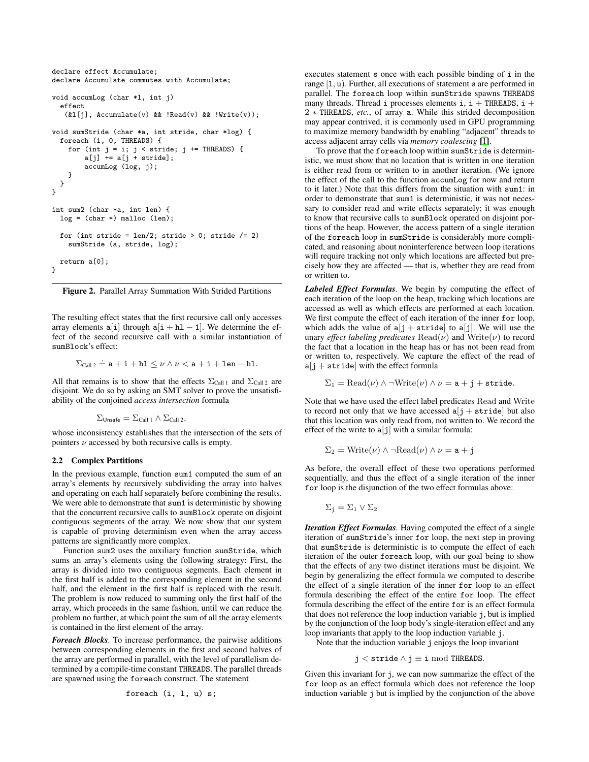```
declare effect Accumulate;
declare Accumulate commutes with Accumulate;
void accumLog (char *l, int j)
 effect
   (k1[i], Accumulate(v) && !Read(v) && !Write(v));
void sumStride (char *a, int stride, char *log) {
 foreach (i, 0, THREADS) {
    for (int j = i; j < stride; j += THREADS) {
        a[j] += a[j + stride];
        accumLog (log, j);
    }
 }
}
int sum2 (char *a, int len) {
 log = (char *) malloc (len);
 for (int stride = len/2; stride > 0; stride /= 2)
   sumStride (a, stride, log);
 return a[0];
}
```
<span id="page-2-0"></span>Figure 2. Parallel Array Summation With Strided Partitions

The resulting effect states that the first recursive call only accesses array elements  $a[i]$  through  $a[i + h1 - 1]$ . We determine the effect of the second recursive call with a similar instantiation of sumBlock's effect:

$$
\Sigma_{\text{Call 2}} = \mathtt{a} + \mathtt{i} + \mathtt{h} \mathtt{l} \leq \nu \wedge \nu < \mathtt{a} + \mathtt{i} + \mathtt{l} \mathtt{en} - \mathtt{h} \mathtt{l}.
$$

All that remains is to show that the effects  $\Sigma_{\text{Call 1}}$  and  $\Sigma_{\text{Call 2}}$  are disjoint. We do so by asking an SMT solver to prove the unsatisfiability of the conjoined *access intersection* formula

$$
\Sigma_{\text{Unsafe}} = \Sigma_{\text{Call 1}} \wedge \Sigma_{\text{Call 2}},
$$

whose inconsistency establishes that the intersection of the sets of pointers  $\nu$  accessed by both recursive calls is empty.

#### 2.2 Complex Partitions

In the previous example, function sum1 computed the sum of an array's elements by recursively subdividing the array into halves and operating on each half separately before combining the results. We were able to demonstrate that sum1 is deterministic by showing that the concurrent recursive calls to sumBlock operate on disjoint contiguous segments of the array. We now show that our system is capable of proving determinism even when the array access patterns are significantly more complex.

Function sum2 uses the auxiliary function sumStride, which sums an array's elements using the following strategy: First, the array is divided into two contiguous segments. Each element in the first half is added to the corresponding element in the second half, and the element in the first half is replaced with the result. The problem is now reduced to summing only the first half of the array, which proceeds in the same fashion, until we can reduce the problem no further, at which point the sum of all the array elements is contained in the first element of the array.

*Foreach Blocks.* To increase performance, the pairwise additions between corresponding elements in the first and second halves of the array are performed in parallel, with the level of parallelism determined by a compile-time constant THREADS. The parallel threads are spawned using the foreach construct. The statement

$$
for each (i, 1, u) s;
$$

executes statement s once with each possible binding of i in the range  $[1, u)$ . Further, all executions of statement s are performed in parallel. The foreach loop within sumStride spawns THREADS many threads. Thread i processes elements i,  $i +$ THREADS,  $i +$ 2 ∗ THREADS, *etc.*, of array a. While this strided decomposition may appear contrived, it is commonly used in GPU programming to maximize memory bandwidth by enabling "adjacent" threads to access adjacent array cells via *memory coalescing* [\[1\]](#page-9-3).

To prove that the foreach loop within sumStride is deterministic, we must show that no location that is written in one iteration is either read from or written to in another iteration. (We ignore the effect of the call to the function accumLog for now and return to it later.) Note that this differs from the situation with sum1: in order to demonstrate that sum1 is deterministic, it was not necessary to consider read and write effects separately; it was enough to know that recursive calls to sumBlock operated on disjoint portions of the heap. However, the access pattern of a single iteration of the foreach loop in sumStride is considerably more complicated, and reasoning about noninterference between loop iterations will require tracking not only which locations are affected but precisely how they are affected — that is, whether they are read from or written to.

*Labeled Effect Formulas.* We begin by computing the effect of each iteration of the loop on the heap, tracking which locations are accessed as well as which effects are performed at each location. We first compute the effect of each iteration of the inner for loop, which adds the value of  $a[j + \text{stride}]$  to  $a[j]$ . We will use the unary *effect labeling predicates*  $\text{Read}(\nu)$  and  $\text{Write}(\nu)$  to record the fact that a location in the heap has or has not been read from or written to, respectively. We capture the effect of the read of  $a[j + stride]$  with the effect formula

$$
\Sigma_1 = \text{Read}(\nu) \land \neg \text{Write}(\nu) \land \nu = \mathtt{a} + \mathtt{j} + \mathtt{stride}.
$$

Note that we have used the effect label predicates Read and Write to record not only that we have accessed  $a[j + stride]$  but also that this location was only read from, not written to. We record the effect of the write to  $a[j]$  with a similar formula:

$$
\Sigma_2 = \text{Write}(\nu) \land \neg \text{Read}(\nu) \land \nu = \mathbf{a} + \mathbf{j}
$$

As before, the overall effect of these two operations performed sequentially, and thus the effect of a single iteration of the inner for loop is the disjunction of the two effect formulas above:

$$
\Sigma_j \stackrel{.}{=} \Sigma_1 \vee \Sigma_2
$$

*Iteration Effect Formulas.* Having computed the effect of a single iteration of sumStride's inner for loop, the next step in proving that sumStride is deterministic is to compute the effect of each iteration of the outer foreach loop, with our goal being to show that the effects of any two distinct iterations must be disjoint. We begin by generalizing the effect formula we computed to describe the effect of a single iteration of the inner for loop to an effect formula describing the effect of the entire for loop. The effect formula describing the effect of the entire for is an effect formula that does not reference the loop induction variable j, but is implied by the conjunction of the loop body's single-iteration effect and any loop invariants that apply to the loop induction variable j.

Note that the induction variable j enjoys the loop invariant

$$
j < \mathtt{stride} \land j \equiv i \bmod \mathtt{THREADS}.
$$

Given this invariant for j, we can now summarize the effect of the for loop as an effect formula which does not reference the loop induction variable j but is implied by the conjunction of the above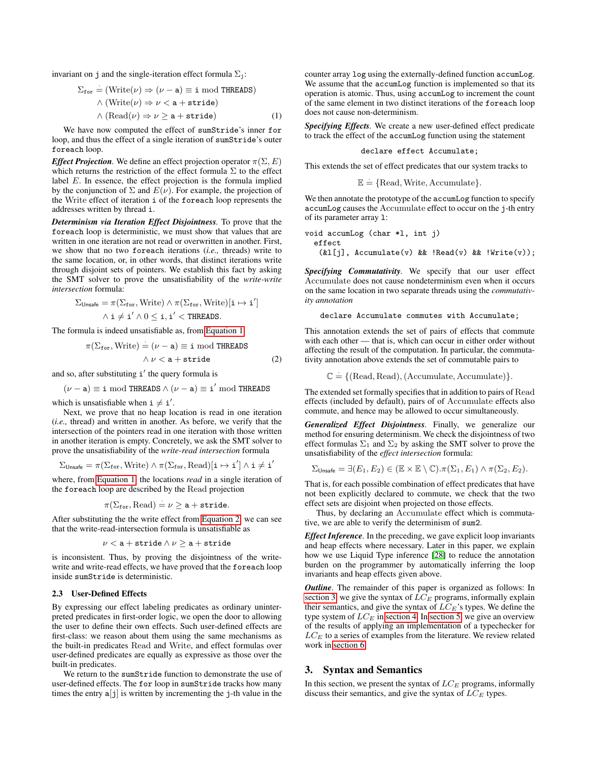invariant on j and the single-iteration effect formula  $\Sigma_j$ :

$$
\Sigma_{\text{for}} = (\text{Write}(\nu) \Rightarrow (\nu - a) \equiv i \mod \text{THREADS})
$$

$$
\land (\text{Write}(\nu) \Rightarrow \nu < a + \text{stride})
$$

$$
\land (\text{Read}(\nu) \Rightarrow \nu \ge a + \text{stride})
$$
(1)

We have now computed the effect of sumStride's inner for loop, and thus the effect of a single iteration of sumStride's outer foreach loop.

*Effect Projection*. We define an effect projection operator  $\pi(\Sigma, E)$ which returns the restriction of the effect formula  $\Sigma$  to the effect label  $E$ . In essence, the effect projection is the formula implied by the conjunction of  $\Sigma$  and  $E(\nu)$ . For example, the projection of the Write effect of iteration i of the foreach loop represents the addresses written by thread i.

*Determinism via Iteration Effect Disjointness.* To prove that the foreach loop is deterministic, we must show that values that are written in one iteration are not read or overwritten in another. First, we show that no two foreach iterations (*i.e.,* threads) write to the same location, or, in other words, that distinct iterations write through disjoint sets of pointers. We establish this fact by asking the SMT solver to prove the unsatisfiability of the *write-write intersection* formula:

$$
\Sigma_{\mathsf{Unsafe}} = \pi(\Sigma_{\mathtt{for}}, \mathsf{Write}) \land \pi(\Sigma_{\mathtt{for}}, \mathsf{Write})[\mathtt{i} \mapsto \mathtt{i}'] \newline \land \mathtt{i} \neq \mathtt{i}' \land 0 \leq \mathtt{i}, \mathtt{i}' < \mathtt{THREADS}.
$$

The formula is indeed unsatisfiable as, from [Equation 1,](#page-3-0)

$$
\pi(\Sigma_{\text{for}}, \text{Write}) = (\nu - \mathbf{a}) \equiv \mathbf{i} \mod \text{THEADS}
$$
  

$$
\wedge \nu < \mathbf{a} + \text{stride}
$$
 (2)

and so, after substituting i' the query formula is

$$
(\nu-\mathtt{a})\equiv \mathtt{i} \bmod{\mathtt{THREADS}} \land (\nu-\mathtt{a}) \equiv \mathtt{i}' \bmod{\mathtt{THREADS}}
$$

which is unsatisfiable when  $i \neq i'$ .

Next, we prove that no heap location is read in one iteration (*i.e.,* thread) and written in another. As before, we verify that the intersection of the pointers read in one iteration with those written in another iteration is empty. Concretely, we ask the SMT solver to prove the unsatisfiability of the *write-read intersection* formula

$$
\Sigma_{\mathsf{Unsafe}} = \pi(\Sigma_{\mathtt{for}}, \mathrm{Write}) \land \pi(\Sigma_{\mathtt{for}}, \mathrm{Read})[\mathtt{i} \mapsto \mathtt{i}'] \land \mathtt{i} \neq \mathtt{i}'
$$

where, from [Equation 1,](#page-3-0) the locations *read* in a single iteration of the foreach loop are described by the Read projection

$$
\pi(\Sigma_{\mathtt{for}}, \mathtt{Read}) \stackrel{\cdot}{=} \nu \geq \mathtt{a} + \mathtt{stride}.
$$

After substituting the the write effect from [Equation 2,](#page-3-1) we can see that the write-read-intersection formula is unsatisfiable as

$$
\nu < \texttt{a} + \texttt{stride} \wedge \nu \geq \texttt{a} + \texttt{stride}
$$

is inconsistent. Thus, by proving the disjointness of the writewrite and write-read effects, we have proved that the foreach loop inside sumStride is deterministic.

#### 2.3 User-Defined Effects

By expressing our effect labeling predicates as ordinary uninterpreted predicates in first-order logic, we open the door to allowing the user to define their own effects. Such user-defined effects are first-class: we reason about them using the same mechanisms as the built-in predicates Read and Write, and effect formulas over user-defined predicates are equally as expressive as those over the built-in predicates.

We return to the sumStride function to demonstrate the use of user-defined effects. The for loop in sumStride tracks how many times the entry  $a[j]$  is written by incrementing the j-th value in the counter array log using the externally-defined function accumLog. We assume that the accumLog function is implemented so that its operation is atomic. Thus, using accumLog to increment the count of the same element in two distinct iterations of the foreach loop does not cause non-determinism.

<span id="page-3-0"></span>*Specifying Effects.* We create a new user-defined effect predicate to track the effect of the accumLog function using the statement

declare effect Accumulate;

This extends the set of effect predicates that our system tracks to

$$
\mathbb{E} = \{\text{Read}, \text{Write}, \text{Accumulate}\}.
$$

We then annotate the prototype of the accumLog function to specify accumLog causes the Accumulate effect to occur on the j-th entry of its parameter array l:

void accumLog (char \*l, int j) effect (&l[j], Accumulate(v) && !Read(v) && !Write(v));

*Specifying Commutativity.* We specify that our user effect Accumulate does not cause nondeterminism even when it occurs on the same location in two separate threads using the *commutativity annotation*

```
declare Accumulate commutes with Accumulate;
```
<span id="page-3-1"></span>This annotation extends the set of pairs of effects that commute with each other — that is, which can occur in either order without affecting the result of the computation. In particular, the commutativity annotation above extends the set of commutable pairs to

 $\mathbb{C} \doteq \{(\text{Read}, \text{Read}), (\text{Accumulate}, \text{Accumulate})\}.$ 

The extended set formally specifies that in addition to pairs of Read effects (included by default), pairs of of Accumulate effects also commute, and hence may be allowed to occur simultaneously.

*Generalized Effect Disjointness.* Finally, we generalize our method for ensuring determinism. We check the disjointness of two effect formulas  $\Sigma_1$  and  $\Sigma_2$  by asking the SMT solver to prove the unsatisfiability of the *effect intersection* formula:

$$
\Sigma_{\text{Unsafe}} = \exists (E_1, E_2) \in (\mathbb{E} \times \mathbb{E} \setminus \mathbb{C}). \pi(\Sigma_1, E_1) \wedge \pi(\Sigma_2, E_2).
$$

That is, for each possible combination of effect predicates that have not been explicitly declared to commute, we check that the two effect sets are disjoint when projected on those effects.

Thus, by declaring an Accumulate effect which is commutative, we are able to verify the determinism of sum2.

*Effect Inference.* In the preceding, we gave explicit loop invariants and heap effects where necessary. Later in this paper, we explain how we use Liquid Type inference [\[28\]](#page-9-4) to reduce the annotation burden on the programmer by automatically inferring the loop invariants and heap effects given above.

*Outline.* The remainder of this paper is organized as follows: In [section 3,](#page-3-2) we give the syntax of  $\overline{LC}_E$  programs, informally explain their semantics, and give the syntax of  $LC_E$ 's types. We define the type system of  $LC_E$  in [section 4.](#page-5-0) In [section 5,](#page-7-0) we give an overview of the results of applying an implementation of a typechecker for  $LC_E$  to a series of examples from the literature. We review related work in [section 6.](#page-8-0)

#### <span id="page-3-2"></span>3. Syntax and Semantics

In this section, we present the syntax of  $LC_E$  programs, informally discuss their semantics, and give the syntax of  $LC_E$  types.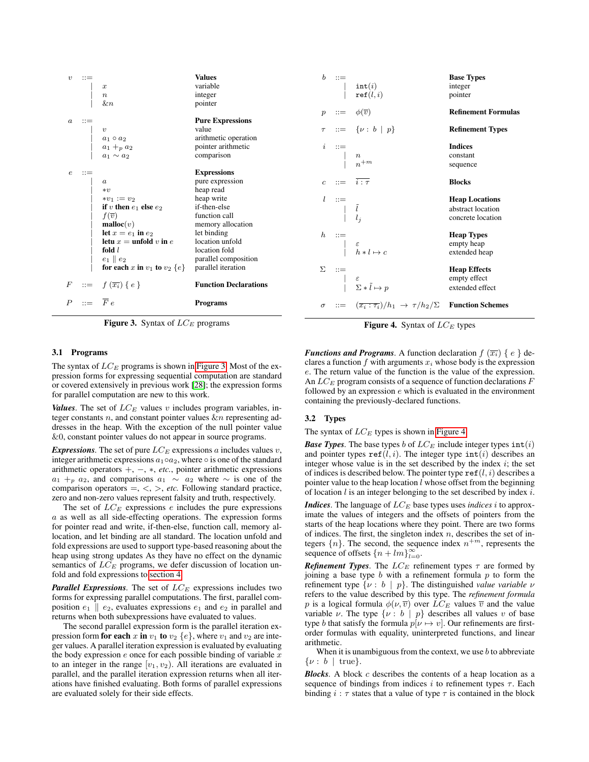| $\boldsymbol{v}$ |                       | $\boldsymbol{x}$<br>$\boldsymbol{n}$<br>$_{\&n}$   | <b>Values</b><br>variable<br>integer<br>pointer |                  |                                                                               | $\begin{array}{cc} ::= & \quad \quad \mathsf{int}(i) \ \quad \quad \mathsf{ref}(l,i) \end{array}$              | <b>Base Types</b><br>integer<br>pointer |
|------------------|-----------------------|----------------------------------------------------|-------------------------------------------------|------------------|-------------------------------------------------------------------------------|----------------------------------------------------------------------------------------------------------------|-----------------------------------------|
|                  |                       |                                                    |                                                 | $\boldsymbol{p}$ | $\mathbf{r} =$                                                                | $\phi(\overline{v})$                                                                                           | <b>Refinement Formulas</b>              |
| $\boldsymbol{a}$ | $\therefore =$        |                                                    | <b>Pure Expressions</b>                         |                  |                                                                               |                                                                                                                |                                         |
|                  |                       | $\boldsymbol{v}$                                   | value                                           |                  |                                                                               | $ ::= \{ \nu : b   p \}$                                                                                       | <b>Refinement Types</b>                 |
|                  |                       |                                                    | arithmetic operation                            |                  |                                                                               |                                                                                                                |                                         |
|                  |                       | $a_1 \circ a_2$<br>$a_1 +_p a_2$<br>$a_1 \sim a_2$ | pointer arithmetic                              |                  |                                                                               |                                                                                                                | <b>Indices</b>                          |
|                  |                       |                                                    | comparison                                      |                  |                                                                               | $\begin{array}{cc} i & ::= & \\ &   & n \\ & &   & n^{+m} \end{array}$                                         | constant                                |
|                  |                       |                                                    |                                                 |                  |                                                                               |                                                                                                                | sequence                                |
| $\epsilon$       | $\mathbf{H}$          |                                                    | <b>Expressions</b>                              |                  |                                                                               |                                                                                                                |                                         |
|                  |                       | $\boldsymbol{a}$                                   | pure expression                                 |                  |                                                                               | $c := \overline{i:\tau}$                                                                                       | <b>Blocks</b>                           |
|                  |                       | $* v$                                              | heap read                                       |                  |                                                                               |                                                                                                                |                                         |
|                  |                       | $*v_1 := v_2$                                      | heap write                                      |                  | $\begin{array}{cc} l & ::= & \\ & &   & \tilde{l} \\ & &   & l_j \end{array}$ |                                                                                                                | <b>Heap Locations</b>                   |
|                  |                       | if v then $e_1$ else $e_2$                         | if-then-else                                    |                  |                                                                               |                                                                                                                | abstract location                       |
|                  |                       | $f(\overline{v})$                                  | function call                                   |                  |                                                                               |                                                                                                                | concrete location                       |
|                  |                       | $\textbf{malloc}(v)$                               | memory allocation                               |                  |                                                                               |                                                                                                                |                                         |
|                  |                       | let $x = e_1$ in $e_2$                             | let binding                                     |                  |                                                                               | $\begin{array}{ccc} h & ::= & \\ & \mid & \varepsilon & \\ & \mid & h:l \mapsto c \end{array}$                 | <b>Heap Types</b>                       |
|                  |                       | letu $x =$ unfold v in e                           | location unfold                                 |                  |                                                                               |                                                                                                                | empty heap                              |
|                  |                       | fold $l$                                           | location fold                                   |                  |                                                                               |                                                                                                                | extended heap                           |
|                  |                       | $e_1 \parallel e_2$                                | parallel composition                            |                  |                                                                               |                                                                                                                |                                         |
|                  |                       | for each x in $v_1$ to $v_2$ $\{e\}$               | parallel iteration                              |                  |                                                                               |                                                                                                                | <b>Heap Effects</b>                     |
|                  |                       |                                                    |                                                 |                  |                                                                               |                                                                                                                | empty effect                            |
| $\,F$            | $::=$                 | $f(\overline{x_i})\{e\}$                           | <b>Function Declarations</b>                    |                  |                                                                               | $\begin{array}{ccc}\n\Sigma &::=&\\ & \mid & \varepsilon\\ & & \mid & \Sigma * \tilde{l} \mapsto p\end{array}$ | extended effect                         |
| $\boldsymbol{P}$ | $ ::= \overline{F} e$ |                                                    | <b>Programs</b>                                 | $\sigma$         |                                                                               | $\overline{z}$ = $(\overline{x_i : \tau_i})/h_1 \rightarrow \tau/h_2/\Sigma$ Function Schemes                  |                                         |
|                  |                       |                                                    |                                                 |                  |                                                                               |                                                                                                                |                                         |

<span id="page-4-0"></span>Figure 3. Syntax of  $LC_E$  programs

#### 3.1 Programs

The syntax of  $LC_E$  programs is shown in [Figure 3.](#page-4-0) Most of the expression forms for expressing sequential computation are standard or covered extensively in previous work [\[28\]](#page-9-4); the expression forms for parallel computation are new to this work.

*Values*. The set of  $LC_E$  values v includes program variables, integer constants  $n$ , and constant pointer values  $\& n$  representing addresses in the heap. With the exception of the null pointer value &0, constant pointer values do not appear in source programs.

*Expressions.* The set of pure  $LC_E$  expressions a includes values v, integer arithmetic expressions  $a_1 \circ a_2$ , where  $\circ$  is one of the standard arithmetic operators +, −, ∗, *etc.*, pointer arithmetic expressions  $a_1 + p a_2$ , and comparisons  $a_1 \sim a_2$  where  $\sim$  is one of the comparison operators  $=$ ,  $\lt$ ,  $>$ , *etc*. Following standard practice, zero and non-zero values represent falsity and truth, respectively.

The set of  $LC_E$  expressions e includes the pure expressions a as well as all side-effecting operations. The expression forms for pointer read and write, if-then-else, function call, memory allocation, and let binding are all standard. The location unfold and fold expressions are used to support type-based reasoning about the heap using strong updates As they have no effect on the dynamic semantics of  $LC_E$  programs, we defer discussion of location unfold and fold expressions to [section 4.](#page-5-0)

*Parallel Expressions.* The set of  $LC_E$  expressions includes two forms for expressing parallel computations. The first, parallel composition  $e_1 \parallel e_2$ , evaluates expressions  $e_1$  and  $e_2$  in parallel and returns when both subexpressions have evaluated to values.

The second parallel expression form is the parallel iteration expression form for each x in  $v_1$  to  $v_2$  {e}, where  $v_1$  and  $v_2$  are integer values. A parallel iteration expression is evaluated by evaluating the body expression  $e$  once for each possible binding of variable  $x$ to an integer in the range  $[v_1, v_2]$ . All iterations are evaluated in parallel, and the parallel iteration expression returns when all iterations have finished evaluating. Both forms of parallel expressions are evaluated solely for their side effects.

<span id="page-4-1"></span>Figure 4. Syntax of  $LC_E$  types

*Functions and Programs.* A function declaration  $f(\overline{x_i}) \{e\}$  declares a function f with arguments  $x_i$  whose body is the expression e. The return value of the function is the value of the expression. An  $LC_E$  program consists of a sequence of function declarations  $F$ followed by an expression  $e$  which is evaluated in the environment containing the previously-declared functions.

#### 3.2 Types

The syntax of  $LC_E$  types is shown in [Figure 4.](#page-4-1)

*Base Types.* The base types b of  $LC_E$  include integer types  $\text{int}(i)$ and pointer types  $\text{ref}(l, i)$ . The integer type  $\text{int}(i)$  describes an integer whose value is in the set described by the index  $i$ ; the set of indices is described below. The pointer type  $\texttt{ref}(l, i)$  describes a pointer value to the heap location  $l$  whose offset from the beginning of location  $l$  is an integer belonging to the set described by index  $i$ .

*Indices*. The language of  $LC_E$  base types uses *indices* i to approximate the values of integers and the offsets of pointers from the starts of the heap locations where they point. There are two forms of indices. The first, the singleton index  $n$ , describes the set of integers  $\{n\}$ . The second, the sequence index  $n^{+m}$ , represents the sequence of offsets  ${n + lm}_{l=0}^{\infty}$ .

*Refinement Types.* The  $LC_E$  refinement types  $\tau$  are formed by joining a base type  $b$  with a refinement formula  $p$  to form the refinement type  $\{v : b \mid p\}$ . The distinguished *value variable*  $v$ refers to the value described by this type. The *refinement formula* p is a logical formula  $\phi(\nu, \overline{v})$  over  $LC_E$  values  $\overline{v}$  and the value variable  $\nu$ . The type  $\{\nu : b \mid p\}$  describes all values  $\nu$  of base type b that satisfy the formula  $p[\nu \mapsto v]$ . Our refinements are firstorder formulas with equality, uninterpreted functions, and linear arithmetic.

When it is unambiguous from the context, we use  $b$  to abbreviate  $\{\nu : b \mid \text{true}\}.$ 

*Blocks*. A block c describes the contents of a heap location as a sequence of bindings from indices i to refinement types  $\tau$ . Each binding  $i : \tau$  states that a value of type  $\tau$  is contained in the block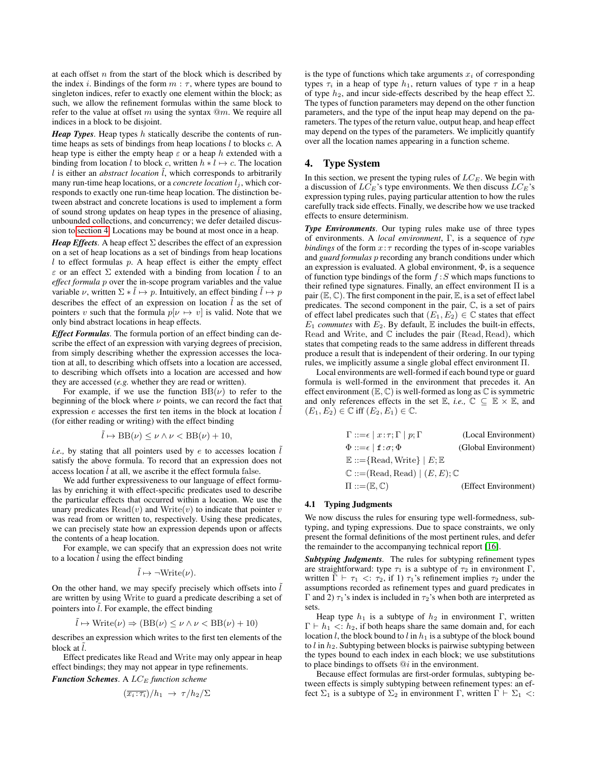at each offset  $n$  from the start of the block which is described by the index i. Bindings of the form  $m : \tau$ , where types are bound to singleton indices, refer to exactly one element within the block; as such, we allow the refinement formulas within the same block to refer to the value at offset m using the syntax  $@m$ . We require all indices in a block to be disjoint.

*Heap Types.* Heap types h statically describe the contents of runtime heaps as sets of bindings from heap locations  $l$  to blocks  $c$ . A heap type is either the empty heap  $\varepsilon$  or a heap h extended with a binding from location l to block c, written  $h * l \mapsto c$ . The location  $l$  is either an *abstract location*  $\tilde{l}$ , which corresponds to arbitrarily many run-time heap locations, or a *concrete location*  $l_i$ , which corresponds to exactly one run-time heap location. The distinction between abstract and concrete locations is used to implement a form of sound strong updates on heap types in the presence of aliasing, unbounded collections, and concurrency; we defer detailed discussion to [section 4.](#page-5-0) Locations may be bound at most once in a heap.

*Heap Effects.* A heap effect  $\Sigma$  describes the effect of an expression on a set of heap locations as a set of bindings from heap locations  $l$  to effect formulas  $p$ . A heap effect is either the empty effect  $\varepsilon$  or an effect  $\Sigma$  extended with a binding from location  $\hat{l}$  to an *effect formula* p over the in-scope program variables and the value variable  $\nu$ , written  $\Sigma * \tilde{l} \mapsto p$ . Intuitively, an effect binding  $\tilde{l} \mapsto p$ describes the effect of an expression on location  $\tilde{l}$  as the set of pointers v such that the formula  $p[\nu \mapsto v]$  is valid. Note that we only bind abstract locations in heap effects.

*Effect Formulas.* The formula portion of an effect binding can describe the effect of an expression with varying degrees of precision, from simply describing whether the expression accesses the location at all, to describing which offsets into a location are accessed, to describing which offsets into a location are accessed and how they are accessed (*e.g.* whether they are read or written).

For example, if we use the function  $BB(\nu)$  to refer to the beginning of the block where  $\nu$  points, we can record the fact that expression e accesses the first ten items in the block at location  $\tilde{l}$ (for either reading or writing) with the effect binding

$$
\tilde{l} \mapsto \text{BB}(\nu) \le \nu \wedge \nu < \text{BB}(\nu) + 10,
$$

*i.e.*, by stating that all pointers used by  $e$  to accesses location  $l$ satisfy the above formula. To record that an expression does not access location  $l$  at all, we ascribe it the effect formula false.

We add further expressiveness to our language of effect formulas by enriching it with effect-specific predicates used to describe the particular effects that occurred within a location. We use the unary predicates  $\text{Read}(v)$  and  $\text{Write}(v)$  to indicate that pointer v was read from or written to, respectively. Using these predicates, we can precisely state how an expression depends upon or affects the contents of a heap location.

For example, we can specify that an expression does not write to a location  $l$  using the effect binding

$$
\tilde{l} \mapsto \neg \text{Write}(\nu).
$$

On the other hand, we may specify precisely which offsets into  $\tilde{l}$ are written by using Write to guard a predicate describing a set of pointers into  $\hat{l}$ . For example, the effect binding

$$
\tilde{l} \mapsto \text{Write}(\nu) \Rightarrow (\text{BB}(\nu) \leq \nu \wedge \nu < \text{BB}(\nu) + 10)
$$

describes an expression which writes to the first ten elements of the block at  $l$ .

Effect predicates like Read and Write may only appear in heap effect bindings; they may not appear in type refinements.

*Function Schemes.* A  $LC_E$  *function scheme* 

$$
(\overline{x_i:\tau_i})/h_1 \rightarrow \tau/h_2/\Sigma
$$

is the type of functions which take arguments  $x_i$  of corresponding types  $\tau_i$  in a heap of type  $h_1$ , return values of type  $\tau$  in a heap of type  $h_2$ , and incur side-effects described by the heap effect  $\Sigma$ . The types of function parameters may depend on the other function parameters, and the type of the input heap may depend on the parameters. The types of the return value, output heap, and heap effect may depend on the types of the parameters. We implicitly quantify over all the location names appearing in a function scheme.

#### <span id="page-5-0"></span>4. Type System

In this section, we present the typing rules of  $LC_E$ . We begin with a discussion of  $LC_E$ 's type environments. We then discuss  $LC_E$ 's expression typing rules, paying particular attention to how the rules carefully track side effects. Finally, we describe how we use tracked effects to ensure determinism.

*Type Environments.* Our typing rules make use of three types of environments. A *local environment*, Γ, is a sequence of *type bindings* of the form  $x:\tau$  recording the types of in-scope variables and *guard formulas* p recording any branch conditions under which an expression is evaluated. A global environment, Φ, is a sequence of function type bindings of the form  $f : S$  which maps functions to their refined type signatures. Finally, an effect environment Π is a pair  $(\mathbb{E}, \mathbb{C})$ . The first component in the pair,  $\mathbb{E}$ , is a set of effect label predicates. The second component in the pair, C, is a set of pairs of effect label predicates such that  $(E_1, E_2) \in \mathbb{C}$  states that effect  $E_1$  *commutes* with  $E_2$ . By default,  $E$  includes the built-in effects, Read and Write, and  $\mathbb C$  includes the pair (Read, Read), which states that competing reads to the same address in different threads produce a result that is independent of their ordering. In our typing rules, we implicitly assume a single global effect environment Π.

Local environments are well-formed if each bound type or guard formula is well-formed in the environment that precedes it. An effect environment  $(\mathbb{E}, \mathbb{C})$  is well-formed as long as  $\mathbb{C}$  is symmetric and only references effects in the set  $\mathbb{E}$ , *i.e.*,  $\mathbb{C} \subseteq \mathbb{E} \times \mathbb{E}$ , and  $(E_1, E_2) \in \mathbb{C}$  iff  $(E_2, E_1) \in \mathbb{C}$ .

| $\Gamma ::= \epsilon   x : \tau; \Gamma   p; \Gamma$ | (Local Environment)  |
|------------------------------------------------------|----------------------|
| $\Phi ::= \epsilon   f : \sigma; \Phi$               | (Global Environment) |
| $\mathbb{E} ::= \{Read, Write\} \mid E; \mathbb{E}$  |                      |
| $\mathbb{C} ::= (Read, Read)   (E, E); \mathbb{C}$   |                      |
| $\Pi ::= (\mathbb{E}, \mathbb{C})$                   | (Effect Environment) |

#### <span id="page-5-1"></span>4.1 Typing Judgments

We now discuss the rules for ensuring type well-formedness, subtyping, and typing expressions. Due to space constraints, we only present the formal definitions of the most pertinent rules, and defer the remainder to the accompanying technical report [\[16\]](#page-9-5).

*Subtyping Judgments.* The rules for subtyping refinement types are straightforward: type  $\tau_1$  is a subtype of  $\tau_2$  in environment  $\Gamma$ , written  $\Gamma \vdash \tau_1 \prec : \tau_2$ , if 1)  $\tau_1$ 's refinement implies  $\tau_2$  under the assumptions recorded as refinement types and guard predicates in Γ and 2)  $τ_1$ 's index is included in  $τ_2$ 's when both are interpreted as sets.

Heap type  $h_1$  is a subtype of  $h_2$  in environment Γ, written  $\Gamma \vdash h_1 \prec h_2$ , if both heaps share the same domain and, for each location  $l$ , the block bound to  $l$  in  $h_1$  is a subtype of the block bound to  $l$  in  $h_2$ . Subtyping between blocks is pairwise subtyping between the types bound to each index in each block; we use substitutions to place bindings to offsets  $@i$  in the environment.

Because effect formulas are first-order formulas, subtyping between effects is simply subtyping between refinement types: an effect  $\Sigma_1$  is a subtype of  $\Sigma_2$  in environment  $\Gamma$ , written  $\Gamma \vdash \Sigma_1$  <: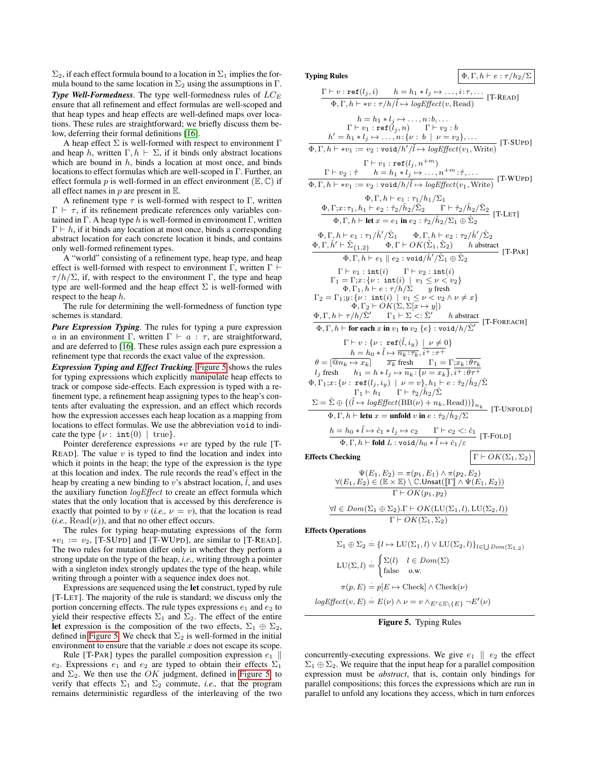$\Sigma_2$ , if each effect formula bound to a location in  $\Sigma_1$  implies the formula bound to the same location in  $\Sigma_2$  using the assumptions in  $\Gamma$ .

**Type Well-Formedness**. The type well-formedness rules of  $LC_E$ ensure that all refinement and effect formulas are well-scoped and that heap types and heap effects are well-defined maps over locations. These rules are straightforward; we briefly discuss them below, deferring their formal definitions [\[16\]](#page-9-5).

A heap effect  $\Sigma$  is well-formed with respect to environment  $\Gamma$ and heap h, written  $\Gamma$ ,  $h \vdash \Sigma$ , if it binds only abstract locations which are bound in  $h$ , binds a location at most once, and binds locations to effect formulas which are well-scoped in Γ. Further, an effect formula p is well-formed in an effect environment ( $\mathbb{E}, \mathbb{C}$ ) if all effect names in  $p$  are present in  $E$ .

A refinement type  $\tau$  is well-formed with respect to Γ, written  $\Gamma \vdash \tau$ , if its refinement predicate references only variables contained in Γ. A heap type h is well-formed in environment  $\Gamma$ , written  $\Gamma \vdash h$ , if it binds any location at most once, binds a corresponding abstract location for each concrete location it binds, and contains only well-formed refinement types.

A "world" consisting of a refinement type, heap type, and heap effect is well-formed with respect to environment Γ, written  $\Gamma \vdash$  $\tau/h/\Sigma$ , if, with respect to the environment Γ, the type and heap type are well-formed and the heap effect  $\Sigma$  is well-formed with respect to the heap h.

The rule for determining the well-formedness of function type schemes is standard.

*Pure Expression Typing.* The rules for typing a pure expression a in an environment Γ, written  $\Gamma \vdash a : \tau$ , are straightforward, and are deferred to [\[16\]](#page-9-5). These rules assign each pure expression a refinement type that records the exact value of the expression.

*Expression Typing and Effect Tracking.* [Figure 5](#page-6-0) shows the rules for typing expressions which explicitly manipulate heap effects to track or compose side-effects. Each expression is typed with a refinement type, a refinement heap assigning types to the heap's contents after evaluating the expression, and an effect which records how the expression accesses each heap location as a mapping from locations to effect formulas. We use the abbreviation void to indicate the type  $\{\nu : \text{int}(0) \mid \text{true}\}.$ 

Pointer dereference expressions  $*v$  are typed by the rule [T-READ]. The value  $v$  is typed to find the location and index into which it points in the heap; the type of the expression is the type at this location and index. The rule records the read's effect in the heap by creating a new binding to  $v$ 's abstract location,  $l$ , and uses the auxiliary function *logEffect* to create an effect formula which states that the only location that is accessed by this dereference is exactly that pointed to by  $v$  (*i.e.*,  $v = v$ ), that the location is read  $(i.e., Read(\nu))$ , and that no other effect occurs.

The rules for typing heap-mutating expressions of the form  $*v_1 := v_2$ , [T-SUPD] and [T-WUPD], are similar to [T-READ]. The two rules for mutation differ only in whether they perform a strong update on the type of the heap, *i.e.,* writing through a pointer with a singleton index strongly updates the type of the heap, while writing through a pointer with a sequence index does not.

Expressions are sequenced using the let construct, typed by rule [T-LET]. The majority of the rule is standard; we discuss only the portion concerning effects. The rule types expressions  $e_1$  and  $e_2$  to yield their respective effects  $\Sigma_1$  and  $\Sigma_2$ . The effect of the entire let expression is the composition of the two effects,  $\Sigma_1 \oplus \Sigma_2$ , defined in [Figure 5.](#page-6-0) We check that  $\Sigma_2$  is well-formed in the initial environment to ensure that the variable  $x$  does not escape its scope.

Rule [T-PAR] types the parallel composition expression  $e_1$  || e<sub>2</sub>. Expressions e<sub>1</sub> and e<sub>2</sub> are typed to obtain their effects  $\Sigma_1$ and  $\Sigma_2$ . We then use the OK judgment, defined in [Figure 5,](#page-6-0) to verify that effects  $\Sigma_1$  and  $\Sigma_2$  commute, *i.e.*, that the program remains deterministic regardless of the interleaving of the two

**Typing Rules**  $\left[ \Phi, \Gamma, h \vdash e : \tau / h_2 / \Sigma \right]$ 

$$
\frac{\Gamma \vdash v : \text{ref}(l_j, i) \quad h = h_1 * l_j \mapsto \dots, i:\tau, \dots
$$
\n
$$
\frac{\Phi, \Gamma, h \vdash v : \tau/h/\tilde{l} \mapsto logEffect(v, Read)}{h = h_1 * l_j \mapsto \dots, n : b, \dots}
$$
\n
$$
\Gamma \vdash v_1 : \text{ref}(l_j, n) \quad \Gamma \vdash v_2 : b
$$
\n
$$
h' = h_1 * l_j \mapsto \dots, n : \{v : b \mid v = v_2\}, \dots
$$
\n
$$
\Phi, \Gamma, h \vdash v_1 := v_2 : \text{void}/h/\tilde{l} \mapsto logEffect(v_1, Write) \quad [\text{T-SUPD}]
$$
\n
$$
\Gamma \vdash v_2 : \hat{\tau} \quad h = h_1 * l_j \mapsto \dots, n^+ m : \hat{\tau}, \dots
$$
\n
$$
\frac{\Gamma \vdash v_2 : \hat{\tau} \quad h = h_1 * l_j \mapsto \dots, n^+ m : \hat{\tau}, \dots}{h, h \vdash v_1 : \text{ref}(l_j, n^+ m)}
$$
\n
$$
\frac{\Phi, \Gamma, h \vdash v_1 : \text{ref}(l_j, n^+ m) \cdot \frac{\Phi, \Gamma, h \vdash e_2 : \hat{\tau}_2/h_2/\tilde{\Sigma}_2 \quad \Gamma \vdash \hat{\tau}_2/h_2/\tilde{\Sigma}_2}{h, h \vdash v_1 : \text{inf}(h/\tilde{\Sigma}_1 \quad \Phi, \Gamma, h \vdash e_2 : \hat{\tau}_2/h_2/\Sigma_1 \oplus \tilde{\Sigma}_2 \quad [\text{T-LET}] \cdot \Phi, \Gamma, h \vdash e_1 : \tau_1/h/\tilde{\Sigma}_1 \quad \Phi, \Gamma, h \vdash e_2 : \tau_2/h/\tilde{\Sigma}_2 \quad [\text{T-LET}] \cdot \Phi, \Gamma, h \vdash e_1 : \tau_1/h/\tilde{\Sigma}_1 \quad \Phi, \Gamma, h \vdash e_2 : \tau_2/h/\tilde{\Sigma}_2 \quad [\text{T-LET}] \cdot \Phi, \Gamma, h \vdash e_1 : \tau_1/h/\tilde{\Sigma}_1 \quad \Phi, \Gamma, h \vdash e_2 : \tau_2/h/\tilde{\Sigma}_2 \quad [\text{T-LET}] \cdot \Phi, \Gamma, h \vdash e_1 : \tau_1/h/\tilde{\Sigma}_1 \quad \Phi
$$

$$
\Psi(E_1, E_2) = \pi(p_1, E_1) \wedge \pi(p_2, E_2)
$$
  
\n
$$
\frac{\forall (E_1, E_2) \in (\mathbb{E} \times \mathbb{E}) \setminus \mathbb{C}. \text{Unsat}([\Gamma] \wedge \Psi(E_1, E_2))}{\Gamma \vdash OK(p_1, p_2)}
$$
  
\n
$$
\forall l \in Dom(\Sigma_1 \oplus \Sigma_2). \Gamma \vdash OK(\text{LU}(\Sigma_1, l), \text{LU}(\Sigma_2, l))
$$

 $\Gamma \vdash OK(\Sigma_1, \Sigma_2)$ 

Effects Operations

$$
\Sigma_1 \oplus \Sigma_2 = \{l \mapsto LU(\Sigma_1, l) \vee LU(\Sigma_2, l)\}_{l \in \bigcup Dom(\Sigma_{1,2})}
$$
  
\n
$$
LU(\Sigma, l) = \begin{cases} \Sigma(l) & l \in Dom(\Sigma) \\ \text{false} & \text{o.w.} \end{cases}
$$
  
\n
$$
\pi(p, E) = p[E \mapsto \text{Check} | \wedge \text{Check}(\nu))
$$

 $logEffect(v, E) = E(v) \wedge \nu = v \wedge_{E' \in \mathbb{E} \backslash \{E\}} \neg E'(\nu)$ 

#### <span id="page-6-0"></span>Figure 5. Typing Rules

concurrently-executing expressions. We give  $e_1 \parallel e_2$  the effect  $\Sigma_1 \oplus \Sigma_2$ . We require that the input heap for a parallel composition expression must be *abstract*, that is, contain only bindings for parallel compositions; this forces the expressions which are run in parallel to unfold any locations they access, which in turn enforces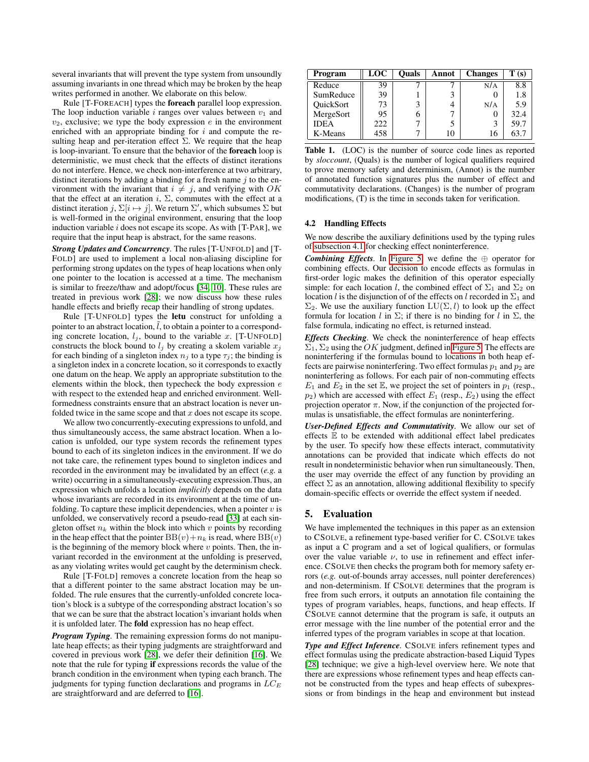several invariants that will prevent the type system from unsoundly assuming invariants in one thread which may be broken by the heap writes performed in another. We elaborate on this below.

Rule [T-FOREACH] types the foreach parallel loop expression. The loop induction variable  $i$  ranges over values between  $v_1$  and  $v_2$ , exclusive; we type the body expression  $e$  in the environment enriched with an appropriate binding for  $i$  and compute the resulting heap and per-iteration effect  $\Sigma$ . We require that the heap is loop-invariant. To ensure that the behavior of the foreach loop is deterministic, we must check that the effects of distinct iterations do not interfere. Hence, we check non-interference at two arbitrary, distinct iterations by adding a binding for a fresh name  $j$  to the environment with the invariant that  $i \neq j$ , and verifying with OK that the effect at an iteration i,  $\Sigma$ , commutes with the effect at a distinct iteration  $j$ ,  $\Sigma[i \mapsto j]$ . We return  $\Sigma'$ , which subsumes  $\Sigma$  but is well-formed in the original environment, ensuring that the loop induction variable  $i$  does not escape its scope. As with [T-PAR], we require that the input heap is abstract, for the same reasons.

*Strong Updates and Concurrency.* The rules [T-UNFOLD] and [T-FOLD] are used to implement a local non-aliasing discipline for performing strong updates on the types of heap locations when only one pointer to the location is accessed at a time. The mechanism is similar to freeze/thaw and adopt/focus [\[34,](#page-9-6) [10\]](#page-9-7). These rules are treated in previous work [\[28\]](#page-9-4); we now discuss how these rules handle effects and briefly recap their handling of strong updates.

Rule [T-UNFOLD] types the letu construct for unfolding a pointer to an abstract location,  $l$ , to obtain a pointer to a corresponding concrete location,  $l_j$ , bound to the variable x. [T-UNFOLD] constructs the block bound to  $l_j$  by creating a skolem variable  $x_j$ for each binding of a singleton index  $n_i$  to a type  $\tau_i$ ; the binding is a singleton index in a concrete location, so it corresponds to exactly one datum on the heap. We apply an appropriate substitution to the elements within the block, then typecheck the body expression e with respect to the extended heap and enriched environment. Wellformedness constraints ensure that an abstract location is never unfolded twice in the same scope and that  $x$  does not escape its scope.

We allow two concurrently-executing expressions to unfold, and thus simultaneously access, the same abstract location. When a location is unfolded, our type system records the refinement types bound to each of its singleton indices in the environment. If we do not take care, the refinement types bound to singleton indices and recorded in the environment may be invalidated by an effect (*e.g.* a write) occurring in a simultaneously-executing expression.Thus, an expression which unfolds a location *implicitly* depends on the data whose invariants are recorded in its environment at the time of unfolding. To capture these implicit dependencies, when a pointer  $v$  is unfolded, we conservatively record a pseudo-read [\[33\]](#page-9-8) at each singleton offset  $n_k$  within the block into which v points by recording in the heap effect that the pointer  $BB(v)+n_k$  is read, where  $BB(v)$ is the beginning of the memory block where  $v$  points. Then, the invariant recorded in the environment at the unfolding is preserved, as any violating writes would get caught by the determinism check.

Rule [T-FOLD] removes a concrete location from the heap so that a different pointer to the same abstract location may be unfolded. The rule ensures that the currently-unfolded concrete location's block is a subtype of the corresponding abstract location's so that we can be sure that the abstract location's invariant holds when it is unfolded later. The fold expression has no heap effect.

*Program Typing.* The remaining expression forms do not manipulate heap effects; as their typing judgments are straightforward and covered in previous work [\[28\]](#page-9-4), we defer their definition [\[16\]](#page-9-5). We note that the rule for typing if expressions records the value of the branch condition in the environment when typing each branch. The judgments for typing function declarations and programs in  $LC_E$ are straightforward and are deferred to [\[16\]](#page-9-5).

| Program     | LOC | Ouals | Annot | <b>Changes</b> | T(s) |
|-------------|-----|-------|-------|----------------|------|
| Reduce      | 39  |       |       | N/A            | 8.8  |
| SumReduce   | 39  |       |       |                | 1.8  |
| QuickSort   | 73  |       |       | N/A            | 5.9  |
| MergeSort   | 95  |       |       |                | 32.4 |
| <b>IDEA</b> | 222 |       |       |                | 59.7 |
| K-Means     | 458 |       | 10    | 16             | 63.7 |

<span id="page-7-1"></span>Table 1. (LOC) is the number of source code lines as reported by *sloccount*, (Quals) is the number of logical qualifiers required to prove memory safety and determinism, (Annot) is the number of annotated function signatures plus the number of effect and commutativity declarations. (Changes) is the number of program modifications, (T) is the time in seconds taken for verification.

#### 4.2 Handling Effects

We now describe the auxiliary definitions used by the typing rules of [subsection 4.1](#page-5-1) for checking effect noninterference.

*Combining Effects*. In [Figure 5,](#page-6-0) we define the  $oplus$  operator for combining effects. Our decision to encode effects as formulas in first-order logic makes the definition of this operator especially simple: for each location l, the combined effect of  $\Sigma_1$  and  $\Sigma_2$  on location l is the disjunction of of the effects on l recorded in  $\Sigma_1$  and  $\Sigma_2$ . We use the auxiliary function  $LU(\Sigma, l)$  to look up the effect formula for location l in  $\Sigma$ ; if there is no binding for l in  $\Sigma$ , the false formula, indicating no effect, is returned instead.

*Effects Checking.* We check the noninterference of heap effects  $\Sigma_1$ ,  $\Sigma_2$  using the OK judgment, defined in [Figure 5.](#page-6-0) The effects are noninterfering if the formulas bound to locations in both heap effects are pairwise noninterfering. Two effect formulas  $p_1$  and  $p_2$  are noninterfering as follows. For each pair of non-commuting effects  $E_1$  and  $E_2$  in the set  $\mathbb E$ , we project the set of pointers in  $p_1$  (resp.,  $p_2$ ) which are accessed with effect  $E_1$  (resp.,  $E_2$ ) using the effect projection operator  $\pi$ . Now, if the conjunction of the projected formulas is unsatisfiable, the effect formulas are noninterfering.

*User-Defined Effects and Commutativity.* We allow our set of effects  $E$  to be extended with additional effect label predicates by the user. To specify how these effects interact, commutativity annotations can be provided that indicate which effects do not result in nondeterministic behavior when run simultaneously. Then, the user may override the effect of any function by providing an effect  $\Sigma$  as an annotation, allowing additional flexibility to specify domain-specific effects or override the effect system if needed.

### <span id="page-7-0"></span>5. Evaluation

We have implemented the techniques in this paper as an extension to CSOLVE, a refinement type-based verifier for C. CSOLVE takes as input a C program and a set of logical qualifiers, or formulas over the value variable  $\nu$ , to use in refinement and effect inference. CSOLVE then checks the program both for memory safety errors (*e.g.* out-of-bounds array accesses, null pointer dereferences) and non-determinism. If CSOLVE determines that the program is free from such errors, it outputs an annotation file containing the types of program variables, heaps, functions, and heap effects. If CSOLVE cannot determine that the program is safe, it outputs an error message with the line number of the potential error and the inferred types of the program variables in scope at that location.

*Type and Effect Inference.* CSOLVE infers refinement types and effect formulas using the predicate abstraction-based Liquid Types [\[28\]](#page-9-4) technique; we give a high-level overview here. We note that there are expressions whose refinement types and heap effects cannot be constructed from the types and heap effects of subexpressions or from bindings in the heap and environment but instead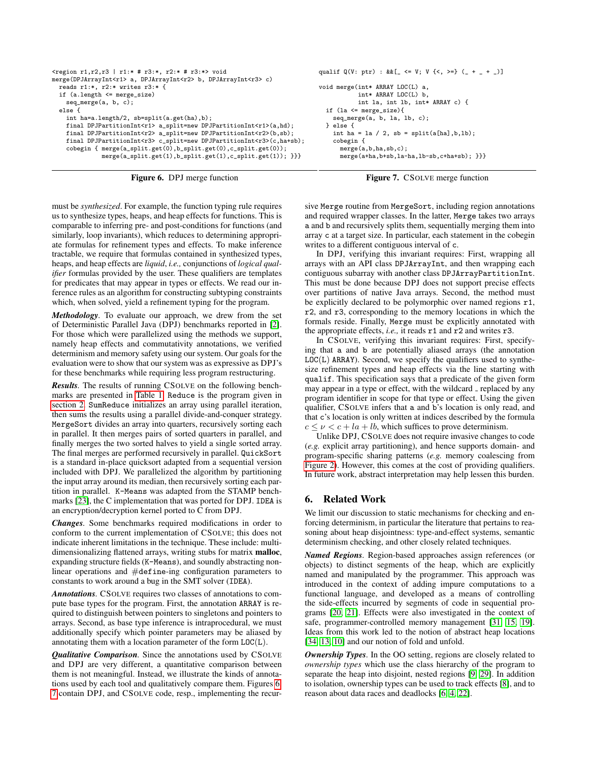```
x^{(0)} ration r1, r2, r3 | r1:* # r3:*, r2:* # r3:*> void
merge(DPJArrayInt<r1> a, DPJArrayInt<r2> b, DPJArrayInt<r3> c)
  reads r1:*, r2:* writes r3:* {
  if (a.length <= merge_size)
    seq_merge(a, b, c);
  else {
    int ha=a.length/2, sb=split(a.get(ha),b);
    final DPJPartitionInt<br> r1> a\_split = new \; \texttt{DPJPartitionInt} (a,hd);
    final DPJPartitionInt<r2> a_split=new DPJPartitionInt<r2>(b,sb);
    final DPJPartitionInt<r3> c_split=new DPJPartitionInt<r3>(c,ha+sb);
    cobegin { merge(a_split.get(0),b_split.get(0),c_split.get(0));
              merge(a_split.get(1),b_split.get(1),c_split.get(1)); }}}
                                                                                 } else {
```
<span id="page-8-1"></span>

```
qualif Q(V: \text{ptr}) : \&\& [ \leq V; V { \leq , \geq} = \{ (- + _ - + _ - ) \}void merge(int* ARRAY LOC(L) a,
            int* ARRAY LOC(L) b,
            int la, int lb, int* ARRAY c) {
  if (la <= merge_size){
    seq_merge(a, b, la, lb, c);
    int ha = la / 2, sb = split(a[ha],b,lb);
    cobegin {
      merge(a,b,ha,sb,c);
      merge(a+ha,b+sb,la-ha,lb-sb,c+ha+sb); }}}
```
<span id="page-8-2"></span>

must be *synthesized*. For example, the function typing rule requires us to synthesize types, heaps, and heap effects for functions. This is comparable to inferring pre- and post-conditions for functions (and similarly, loop invariants), which reduces to determining appropriate formulas for refinement types and effects. To make inference tractable, we require that formulas contained in synthesized types, heaps, and heap effects are *liquid*, *i.e.,* conjunctions of *logical qualifier* formulas provided by the user. These qualifiers are templates for predicates that may appear in types or effects. We read our inference rules as an algorithm for constructing subtyping constraints which, when solved, yield a refinement typing for the program.

*Methodology.* To evaluate our approach, we drew from the set of Deterministic Parallel Java (DPJ) benchmarks reported in [\[2\]](#page-9-0). For those which were parallelized using the methods we support, namely heap effects and commutativity annotations, we verified determinism and memory safety using our system. Our goals for the evaluation were to show that our system was as expressive as DPJ's for these benchmarks while requiring less program restructuring.

*Results.* The results of running CSOLVE on the following benchmarks are presented in [Table 1.](#page-7-1) Reduce is the program given in [section 2.](#page-1-2) SumReduce initializes an array using parallel iteration, then sums the results using a parallel divide-and-conquer strategy. MergeSort divides an array into quarters, recursively sorting each in parallel. It then merges pairs of sorted quarters in parallel, and finally merges the two sorted halves to yield a single sorted array. The final merges are performed recursively in parallel. QuickSort is a standard in-place quicksort adapted from a sequential version included with DPJ. We parallelized the algorithm by partitioning the input array around its median, then recursively sorting each partition in parallel. K-Means was adapted from the STAMP benchmarks [\[23\]](#page-9-9), the C implementation that was ported for DPJ. IDEA is an encryption/decryption kernel ported to C from DPJ.

*Changes.* Some benchmarks required modifications in order to conform to the current implementation of CSOLVE; this does not indicate inherent limitations in the technique. These include: multidimensionalizing flattened arrays, writing stubs for matrix malloc, expanding structure fields (K-Means), and soundly abstracting nonlinear operations and #define-ing configuration parameters to constants to work around a bug in the SMT solver (IDEA).

*Annotations.* CSOLVE requires two classes of annotations to compute base types for the program. First, the annotation ARRAY is required to distinguish between pointers to singletons and pointers to arrays. Second, as base type inference is intraprocedural, we must additionally specify which pointer parameters may be aliased by annotating them with a location parameter of the form  $LOC(L)$ .

*Qualitative Comparison.* Since the annotations used by CSOLVE and DPJ are very different, a quantitative comparison between them is not meaningful. Instead, we illustrate the kinds of annotations used by each tool and qualitatively compare them. Figures [6,](#page-8-1) [7](#page-8-2) contain DPJ, and CSOLVE code, resp., implementing the recursive Merge routine from MergeSort, including region annotations and required wrapper classes. In the latter, Merge takes two arrays a and b and recursively splits them, sequentially merging them into array c at a target size. In particular, each statement in the cobegin writes to a different contiguous interval of c.

In DPJ, verifying this invariant requires: First, wrapping all arrays with an API class DPJArrayInt, and then wrapping each contiguous subarray with another class DPJArrayPartitionInt. This must be done because DPJ does not support precise effects over partitions of native Java arrays. Second, the method must be explicitly declared to be polymorphic over named regions  $r1$ , r2, and r3, corresponding to the memory locations in which the formals reside. Finally, Merge must be explicitly annotated with the appropriate effects, *i.e.,* it reads r1 and r2 and writes r3.

In CSOLVE, verifying this invariant requires: First, specifying that a and b are potentially aliased arrays (the annotation  $LOC(L)$  ARRAY). Second, we specify the qualifiers used to synthesize refinement types and heap effects via the line starting with qualif. This specification says that a predicate of the given form may appear in a type or effect, with the wildcard \_ replaced by any program identifier in scope for that type or effect. Using the given qualifier, CSOLVE infers that a and b's location is only read, and that c's location is only written at indices described by the formula  $c \leq v \leq c + la + lb$ , which suffices to prove determinism.

Unlike DPJ, CSOLVE does not require invasive changes to code (*e.g.* explicit array partitioning), and hence supports domain- and program-specific sharing patterns (*e.g.* memory coalescing from [Figure 2\)](#page-2-0). However, this comes at the cost of providing qualifiers. In future work, abstract interpretation may help lessen this burden.

## <span id="page-8-0"></span>6. Related Work

We limit our discussion to static mechanisms for checking and enforcing determinism, in particular the literature that pertains to reasoning about heap disjointness: type-and-effect systems, semantic determinism checking, and other closely related techniques.

*Named Regions.* Region-based approaches assign references (or objects) to distinct segments of the heap, which are explicitly named and manipulated by the programmer. This approach was introduced in the context of adding impure computations to a functional language, and developed as a means of controlling the side-effects incurred by segments of code in sequential programs [\[20,](#page-9-10) [21\]](#page-9-11). Effects were also investigated in the context of safe, programmer-controlled memory management [\[31,](#page-9-12) [15,](#page-9-13) [19\]](#page-9-14). Ideas from this work led to the notion of abstract heap locations [\[34,](#page-9-6) [13,](#page-9-15) [10\]](#page-9-7) and our notion of fold and unfold.

*Ownership Types.* In the OO setting, regions are closely related to *ownership types* which use the class hierarchy of the program to separate the heap into disjoint, nested regions [\[9,](#page-9-16) [29\]](#page-9-17). In addition to isolation, ownership types can be used to track effects [\[8\]](#page-9-18), and to reason about data races and deadlocks [\[6,](#page-9-19) [4,](#page-9-20) [22\]](#page-9-21).